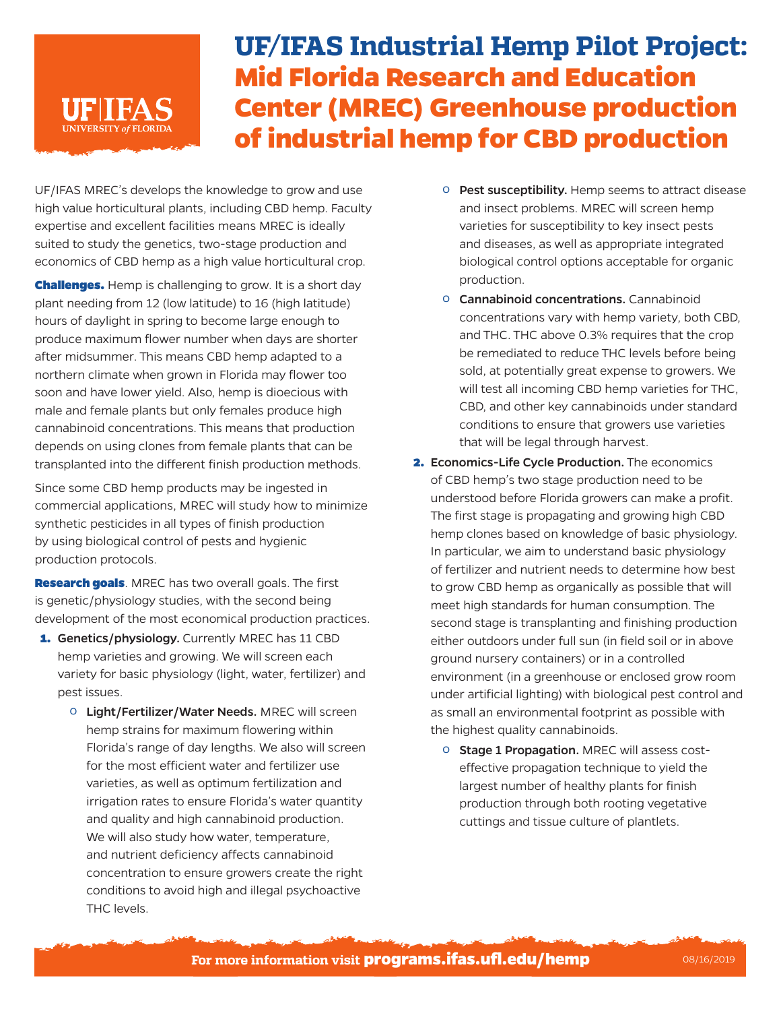## **UF/IFAS Industrial Hemp Pilot Project: Mid Florida Research and Education Center (MREC) Greenhouse production of industrial hemp for CBD production**

UF/IFAS MREC's develops the knowledge to grow and use high value horticultural plants, including CBD hemp. Faculty expertise and excellent facilities means MREC is ideally suited to study the genetics, two-stage production and economics of CBD hemp as a high value horticultural crop.

**JNIVERSITY of FLORIDA** 

**Challenges.** Hemp is challenging to grow. It is a short day plant needing from 12 (low latitude) to 16 (high latitude) hours of daylight in spring to become large enough to produce maximum flower number when days are shorter after midsummer. This means CBD hemp adapted to a northern climate when grown in Florida may flower too soon and have lower yield. Also, hemp is dioecious with male and female plants but only females produce high cannabinoid concentrations. This means that production depends on using clones from female plants that can be transplanted into the different finish production methods.

Since some CBD hemp products may be ingested in commercial applications, MREC will study how to minimize synthetic pesticides in all types of finish production by using biological control of pests and hygienic production protocols.

**Research goals**. MREC has two overall goals. The first is genetic/physiology studies, with the second being development of the most economical production practices.

- 1. Genetics/physiology. Currently MREC has 11 CBD hemp varieties and growing. We will screen each variety for basic physiology (light, water, fertilizer) and pest issues.
	- º Light/Fertilizer/Water Needs. MREC will screen hemp strains for maximum flowering within Florida's range of day lengths. We also will screen for the most efficient water and fertilizer use varieties, as well as optimum fertilization and irrigation rates to ensure Florida's water quantity and quality and high cannabinoid production. We will also study how water, temperature, and nutrient deficiency affects cannabinoid concentration to ensure growers create the right conditions to avoid high and illegal psychoactive THC levels.
- º Pest susceptibility. Hemp seems to attract disease and insect problems. MREC will screen hemp varieties for susceptibility to key insect pests and diseases, as well as appropriate integrated biological control options acceptable for organic production.
- º Cannabinoid concentrations. Cannabinoid concentrations vary with hemp variety, both CBD, and THC. THC above 0.3% requires that the crop be remediated to reduce THC levels before being sold, at potentially great expense to growers. We will test all incoming CBD hemp varieties for THC, CBD, and other key cannabinoids under standard conditions to ensure that growers use varieties that will be legal through harvest.
- 2. Economics-Life Cycle Production. The economics of CBD hemp's two stage production need to be understood before Florida growers can make a profit. The first stage is propagating and growing high CBD hemp clones based on knowledge of basic physiology. In particular, we aim to understand basic physiology of fertilizer and nutrient needs to determine how best to grow CBD hemp as organically as possible that will meet high standards for human consumption. The second stage is transplanting and finishing production either outdoors under full sun (in field soil or in above ground nursery containers) or in a controlled environment (in a greenhouse or enclosed grow room under artificial lighting) with biological pest control and as small an environmental footprint as possible with the highest quality cannabinoids.
	- º Stage 1 Propagation. MREC will assess costeffective propagation technique to yield the largest number of healthy plants for finish production through both rooting vegetative cuttings and tissue culture of plantlets.